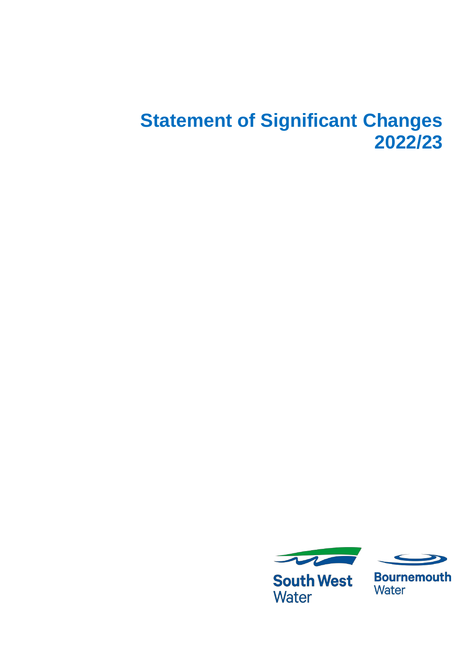# **Statement of Significant Changes 2022/23**



**South West Water** 



**Bournemouth** Water